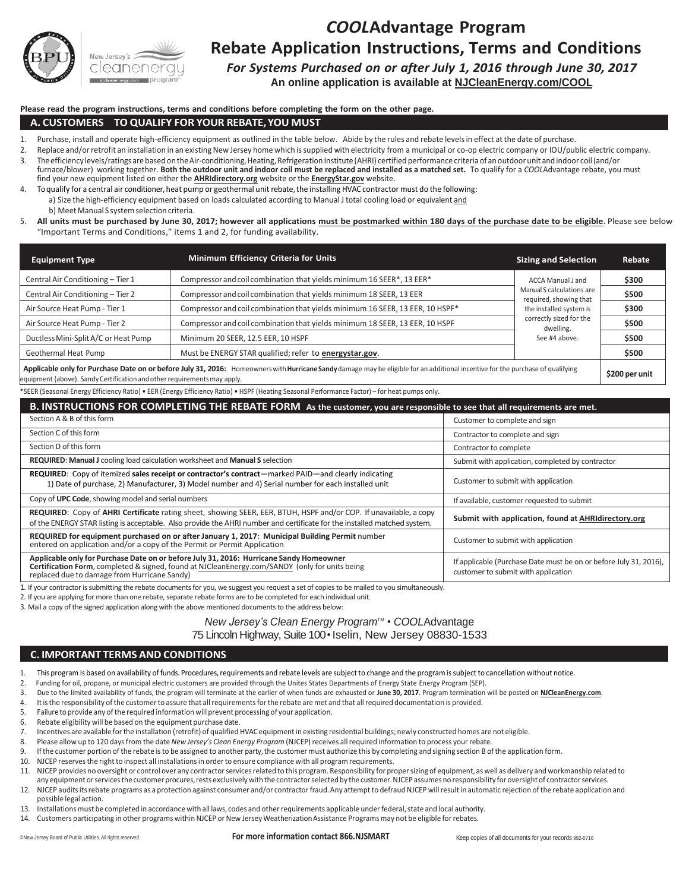

# *COOL***Advantage Program Rebate Application Instructions, Terms and Conditions**

*For Systems Purchased on or after July 1, 2016 through June 30, 2017* 

**An online application is available at NJCleanEnergy.com/COOL**

#### **Please read the program instructions, terms and conditions before completing the form on the other page.**

#### **A. CUSTOMERS – TO QUALIFY FOR YOUR REBATE,YOU MUST**

- 1. Purchase, install and operate high-efficiency equipment as outlined in the table below. Abide by the rules and rebate levels in effect at the date of purchase.
- 2. Replace and/or retrofit an installation in an existing New Jersey home which is supplied with electricity from a municipal or co-op electric company or IOU/public electric company.
- 3. The efficiency levels/ratings are based on the Air-conditioning, Heating, Refrigeration Institute (AHRI) certified performance criteria of an outdoor unit and indoor coil (and/or furnace/blower) working together. **Both the outdoor unit and indoor coil must be replaced and installed as a matched set.** To qualify for a *COOL*Advantage rebate, you must find your new equipment listed on either the **AHRIdirectory.org** website or the **EnergyStar.gov** website.
- 4. To qualify for a central air conditioner, heat pump or geothermal unit rebate, the installing HVAC contractor must do the following: a) Size the high-efficiency equipment based on loads calculated according to Manual J total cooling load or equivalent and b) Meet Manual S system selection criteria.
- 5. **All units must be purchased by June 30, 2017; however all applications must be postmarked within 180 days of the purchase date to be eligible**. Please see below "Important Terms and Conditions," items 1 and 2, for funding availability.

| <b>Equipment Type</b>                                                                                                                                                           | Minimum Efficiency Criteria for Units                                         | <b>Sizing and Selection</b>                         | Rebate |  |  |
|---------------------------------------------------------------------------------------------------------------------------------------------------------------------------------|-------------------------------------------------------------------------------|-----------------------------------------------------|--------|--|--|
| Central Air Conditioning - Tier 1                                                                                                                                               | Compressor and coil combination that yields minimum 16 SEER*, 13 EER*         | ACCA Manual J and                                   | \$300  |  |  |
| Central Air Conditioning - Tier 2                                                                                                                                               | Compressor and coil combination that yields minimum 18 SEER, 13 EER           | Manual S calculations are<br>required, showing that | \$500  |  |  |
| Air Source Heat Pump - Tier 1                                                                                                                                                   | Compressor and coil combination that yields minimum 16 SEER, 13 EER, 10 HSPF* | the installed system is                             | \$300  |  |  |
| Air Source Heat Pump - Tier 2                                                                                                                                                   | Compressor and coil combination that yields minimum 18 SEER, 13 EER, 10 HSPF  | correctly sized for the<br>dwelling.                | \$500  |  |  |
| Ductless Mini-Split A/C or Heat Pump                                                                                                                                            | Minimum 20 SEER, 12.5 EER, 10 HSPF                                            | See #4 above.                                       | \$500  |  |  |
| Geothermal Heat Pump                                                                                                                                                            | Must be ENERGY STAR qualified; refer to energystar.gov.                       |                                                     | \$500  |  |  |
| Applicable only for Purchase Date on or before July 31, 2016: Homeowners with Hurricane Sandy damage may be eligible for an additional incentive for the purchase of qualifying |                                                                               |                                                     |        |  |  |

equipment (above). SandyCertification andotherrequirementsmay apply. **\$200 per unit**

\*SEER (Seasonal Energy Efficiency Ratio) • EER (Energy Efficiency Ratio) • HSPF (Heating Seasonal Performance Factor) – for heat pumps only.

| B. INSTRUCTIONS FOR COMPLETING THE REBATE FORM As the customer, you are responsible to see that all requirements are met.                                                                                                                     |                                                                                                          |  |  |  |  |  |
|-----------------------------------------------------------------------------------------------------------------------------------------------------------------------------------------------------------------------------------------------|----------------------------------------------------------------------------------------------------------|--|--|--|--|--|
| Section A & B of this form                                                                                                                                                                                                                    | Customer to complete and sign                                                                            |  |  |  |  |  |
| Section C of this form                                                                                                                                                                                                                        | Contractor to complete and sign                                                                          |  |  |  |  |  |
| Section D of this form                                                                                                                                                                                                                        | Contractor to complete                                                                                   |  |  |  |  |  |
| <b>REQUIRED: Manual J</b> cooling load calculation worksheet and <b>Manual S</b> selection                                                                                                                                                    | Submit with application, completed by contractor                                                         |  |  |  |  |  |
| <b>REQUIRED:</b> Copy of itemized sales receipt or contractor's contract—marked PAID—and clearly indicating<br>1) Date of purchase, 2) Manufacturer, 3) Model number and 4) Serial number for each installed unit                             | Customer to submit with application                                                                      |  |  |  |  |  |
| Copy of UPC Code, showing model and serial numbers                                                                                                                                                                                            | If available, customer requested to submit                                                               |  |  |  |  |  |
| REQUIRED: Copy of AHRI Certificate rating sheet, showing SEER, EER, BTUH, HSPF and/or COP. If unavailable, a copy<br>of the ENERGY STAR listing is acceptable. Also provide the AHRI number and certificate for the installed matched system. | Submit with application, found at AHRIdirectory.org                                                      |  |  |  |  |  |
| REQUIRED for equipment purchased on or after January 1, 2017: Municipal Building Permit number<br>entered on application and/or a copy of the Permit or Permit Application                                                                    | Customer to submit with application                                                                      |  |  |  |  |  |
| Applicable only for Purchase Date on or before July 31, 2016: Hurricane Sandy Homeowner<br>Certification Form, completed & signed, found at NJCleanEnergy.com/SANDY (only for units being<br>replaced due to damage from Hurricane Sandy)     | If applicable (Purchase Date must be on or before July 31, 2016).<br>customer to submit with application |  |  |  |  |  |

1. If your contractor is submitting the rebate documents for you, we suggest you request a set of copies to be mailed to you simultaneously.

2. If you are applying for more than one rebate, separate rebate forms are to be completed for each individual unit.

3. Mail a copy of the signed application along with the above mentioned documents to the address below:

## *New Jersey's Clean Energy Program™ • COOLAdvantage* 75 Lincoln Highway, Suite 100 • Iselin, New Jersey 08830-1533

### **C. IMPORTANT TERMS AND CONDITIONS**

- 1. This program is based on availability of funds. Procedures, requirements and rebate levels are subject to change and the program is subject to cancellation without notice.
- 2. Funding for oil, propane, or municipal electric customers are provided through the Unites States Departments of Energy State Energy Program (SEP).
- 3. Due to the limited availability of funds, the program will terminate at the earlier of when funds are exhausted or **June 30, 2017**. Program termination will be posted on **NJCleanEnergy.com**.
- 4. Itis the responsibility of the customer to assure that all requirements for the rebate are met and that all required documentation is provided.
- 5. Failure to provide any of the required information will prevent processing of your application.
- 6. Rebate eligibility will be based on the equipment purchase date.
- 7. Incentives are available for the installation (retrofit) of qualified HVAC equipment in existing residential buildings; newly constructed homes are not eligible.
- 8. Please allow up to 120 days from the date *New Jersey's Clean Energy Program* (NJCEP) receives all required information to process your rebate.
- 9. If the customer portion of the rebate is to be assigned to another party, the customer must authorize this by completing and signing section B of the application form.<br>10 NICEP reserves the right to inspect all installa
- 10. NJCEP reserves the right to inspect all installations in order to ensure compliance with all program requirements.
- 11. NJCEP provides no oversight or control over any contractor services related to this program. Responsibility for proper sizing of equipment, as well as delivery and workmanship related to any equipment or services the customer procures, rests exclusively with the contractor selected by the customer. NJCEP assumes no responsibility for oversight of contractor services.
- 12. NJCEP audits its rebate programs as a protection against consumer and/or contractor fraud. Any attempt to defraud NJCEP will result in automatic rejection of the rebate application and possible legal action.
- 13. Installations must be completed in accordance with all laws, codes and other requirements applicable under federal, state and local authority.
- 14. Customers participating in other programs within NJCEP or New Jersey Weatherization Assistance Programs may not be eligible for rebates.